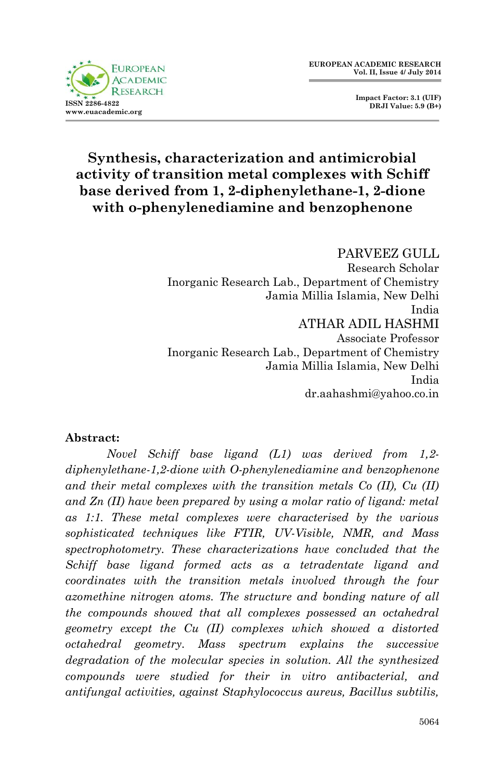

 **Impact Factor: 3.1 (UIF) DRJI Value: 5.9 (B+)**

# **Synthesis, characterization and antimicrobial activity of transition metal complexes with Schiff base derived from 1, 2-diphenylethane-1, 2-dione with o-phenylenediamine and benzophenone**

PARVEEZ GULL Research Scholar Inorganic Research Lab., Department of Chemistry Jamia Millia Islamia, New Delhi India ATHAR ADIL HASHMI Associate Professor Inorganic Research Lab., Department of Chemistry Jamia Millia Islamia, New Delhi India dr.aahashmi@yahoo.co.in

#### **Abstract:**

*Novel Schiff base ligand (L1) was derived from 1,2 diphenylethane-1,2-dione with O-phenylenediamine and benzophenone and their metal complexes with the transition metals Co (II), Cu (II) and Zn (II) have been prepared by using a molar ratio of ligand: metal as 1:1. These metal complexes were characterised by the various sophisticated techniques like FTIR, UV-Visible, NMR, and Mass spectrophotometry. These characterizations have concluded that the Schiff base ligand formed acts as a tetradentate ligand and coordinates with the transition metals involved through the four azomethine nitrogen atoms. The structure and bonding nature of all the compounds showed that all complexes possessed an octahedral geometry except the Cu (II) complexes which showed a distorted octahedral geometry. Mass spectrum explains the successive degradation of the molecular species in solution. All the synthesized compounds were studied for their in vitro antibacterial, and antifungal activities, against Staphylococcus aureus, Bacillus subtilis,*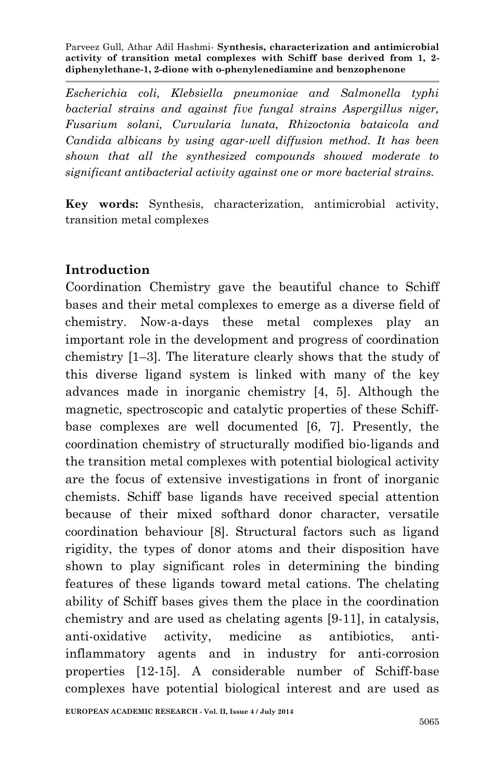*Escherichia coli, Klebsiella pneumoniae and Salmonella typhi bacterial strains and against five fungal strains Aspergillus niger, Fusarium solani, Curvularia lunata, Rhizoctonia bataicola and Candida albicans by using agar-well diffusion method. It has been shown that all the synthesized compounds showed moderate to significant antibacterial activity against one or more bacterial strains.* 

**Key words:** Synthesis, characterization, antimicrobial activity, transition metal complexes

# **Introduction**

Coordination Chemistry gave the beautiful chance to Schiff bases and their metal complexes to emerge as a diverse field of chemistry. Now-a-days these metal complexes play an important role in the development and progress of coordination chemistry [1–3]. The literature clearly shows that the study of this diverse ligand system is linked with many of the key advances made in inorganic chemistry [4, 5]. Although the magnetic, spectroscopic and catalytic properties of these Schiffbase complexes are well documented [6, 7]. Presently, the coordination chemistry of structurally modified bio-ligands and the transition metal complexes with potential biological activity are the focus of extensive investigations in front of inorganic chemists. Schiff base ligands have received special attention because of their mixed softhard donor character, versatile coordination behaviour [8]. Structural factors such as ligand rigidity, the types of donor atoms and their disposition have shown to play significant roles in determining the binding features of these ligands toward metal cations. The chelating ability of Schiff bases gives them the place in the coordination chemistry and are used as chelating agents [9-11], in catalysis, anti-oxidative activity, medicine as antibiotics, antiinflammatory agents and in industry for anti-corrosion properties [12-15]. A considerable number of Schiff-base complexes have potential biological interest and are used as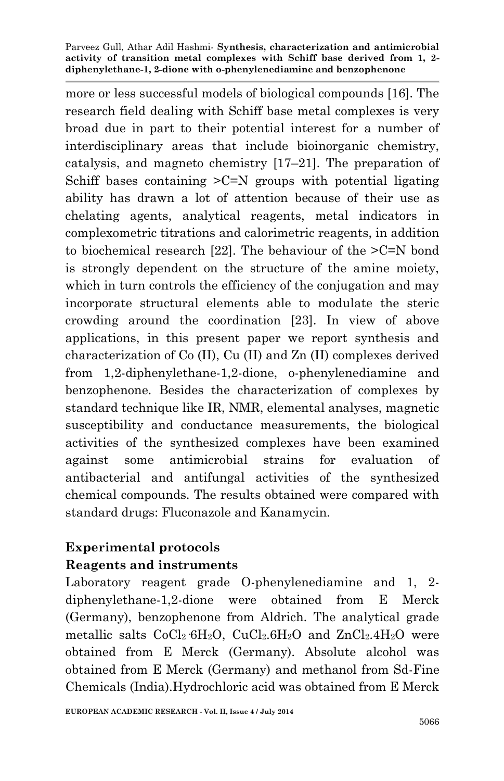more or less successful models of biological compounds [16]. The research field dealing with Schiff base metal complexes is very broad due in part to their potential interest for a number of interdisciplinary areas that include bioinorganic chemistry, catalysis, and magneto chemistry [17–21]. The preparation of Schiff bases containing  $\geq C=N$  groups with potential ligating ability has drawn a lot of attention because of their use as chelating agents, analytical reagents, metal indicators in complexometric titrations and calorimetric reagents, in addition to biochemical research [22]. The behaviour of the >C=N bond is strongly dependent on the structure of the amine moiety, which in turn controls the efficiency of the conjugation and may incorporate structural elements able to modulate the steric crowding around the coordination [23]. In view of above applications, in this present paper we report synthesis and characterization of Co (II), Cu (II) and Zn (II) complexes derived from 1,2-diphenylethane-1,2-dione, o-phenylenediamine and benzophenone. Besides the characterization of complexes by standard technique like IR, NMR, elemental analyses, magnetic susceptibility and conductance measurements, the biological activities of the synthesized complexes have been examined against some antimicrobial strains for evaluation of antibacterial and antifungal activities of the synthesized chemical compounds. The results obtained were compared with standard drugs: Fluconazole and Kanamycin.

# **Experimental protocols Reagents and instruments**

Laboratory reagent grade O-phenylenediamine and 1, 2 diphenylethane-1,2-dione were obtained from E Merck (Germany), benzophenone from Aldrich. The analytical grade metallic salts CoCl2·6H2O, CuCl2.6H2O and ZnCl2.4H2O were obtained from E Merck (Germany). Absolute alcohol was obtained from E Merck (Germany) and methanol from Sd-Fine Chemicals (India).Hydrochloric acid was obtained from E Merck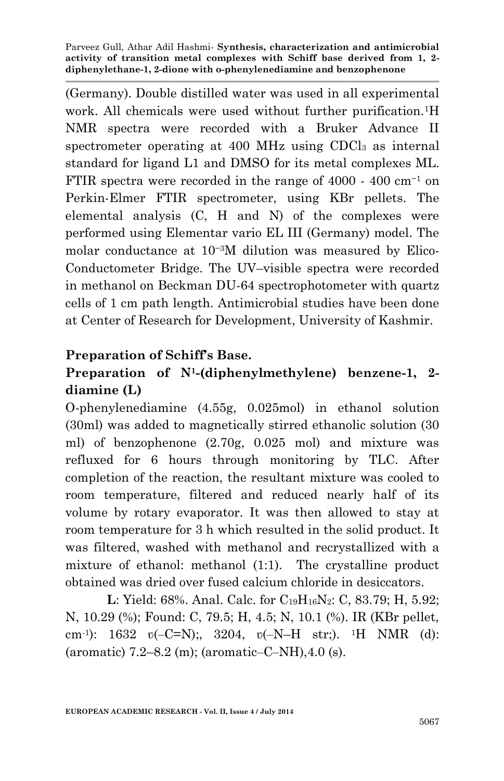(Germany). Double distilled water was used in all experimental work. All chemicals were used without further purification.<sup>1</sup>H NMR spectra were recorded with a Bruker Advance II spectrometer operating at 400 MHz using CDCl<sub>3</sub> as internal standard for ligand L1 and DMSO for its metal complexes ML. FTIR spectra were recorded in the range of 4000 - 400 cm−<sup>1</sup> on Perkin-Elmer FTIR spectrometer, using KBr pellets. The elemental analysis (C, H and N) of the complexes were performed using Elementar vario EL III (Germany) model. The molar conductance at 10−3M dilution was measured by Elico-Conductometer Bridge. The UV–visible spectra were recorded in methanol on Beckman DU-64 spectrophotometer with quartz cells of 1 cm path length. Antimicrobial studies have been done at Center of Research for Development, University of Kashmir.

### **Preparation of Schiff's Base.**

# **Preparation of N<sup>1</sup> -(diphenylmethylene) benzene-1, 2 diamine (L)**

O-phenylenediamine (4.55g, 0.025mol) in ethanol solution (30ml) was added to magnetically stirred ethanolic solution (30 ml) of benzophenone (2.70g, 0.025 mol) and mixture was refluxed for 6 hours through monitoring by TLC. After completion of the reaction, the resultant mixture was cooled to room temperature, filtered and reduced nearly half of its volume by rotary evaporator. It was then allowed to stay at room temperature for 3 h which resulted in the solid product. It was filtered, washed with methanol and recrystallized with a mixture of ethanol: methanol (1:1). The crystalline product obtained was dried over fused calcium chloride in desiccators.

**L**: Yield: 68%. Anal. Calc. for C<sub>19</sub>H<sub>16</sub>N<sub>2</sub>: C, 83.79; H, 5.92; N, 10.29 (%); Found: C, 79.5; H, 4.5; N, 10.1 (%). IR (KBr pellet, cm-1 ): 1632 ʋ(‒C=N);, 3204, ʋ(‒N–H str;). 1H NMR (d): (aromatic)  $7.2-8.2$  (m); (aromatic–C–NH), 4.0 (s).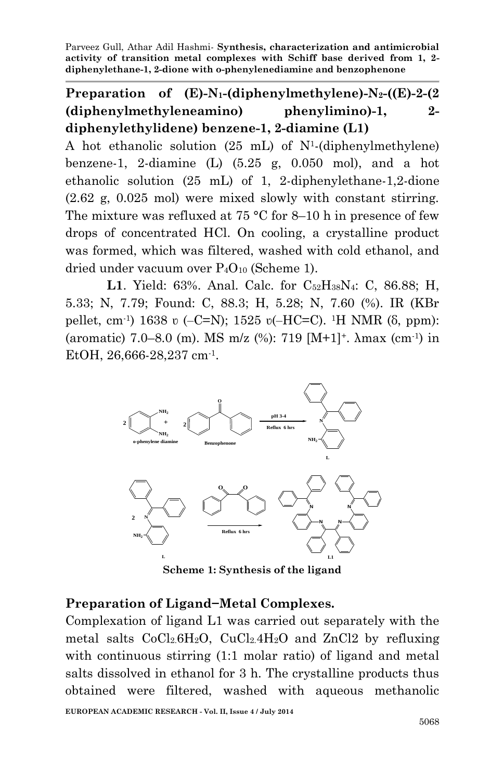# **Preparation of (E)-N1-(diphenylmethylene)-N2-((E)-2-(2 (diphenylmethyleneamino) phenylimino)-1, 2 diphenylethylidene) benzene-1, 2-diamine (L1)**

A hot ethanolic solution (25 mL) of N<sup>1</sup> -(diphenylmethylene) benzene-1, 2-diamine  $(L)$   $(5.25 \text{ g}, 0.050 \text{ mol})$ , and a hot ethanolic solution (25 mL) of 1, 2-diphenylethane-1,2-dione (2.62 g, 0.025 mol) were mixed slowly with constant stirring. The mixture was refluxed at 75  $\degree$ C for 8–10 h in presence of few drops of concentrated HCl. On cooling, a crystalline product was formed, which was filtered, washed with cold ethanol, and dried under vacuum over P4O<sup>10</sup> (Scheme 1).

**L1**. Yield: 63%. Anal. Calc. for  $C_{52}H_{38}N_4$ : C, 86.88; H, 5.33; N, 7.79; Found: C, 88.3; H, 5.28; N, 7.60 (%). IR (KBr pellet, cm<sup>-1</sup>) 1638 v (-C=N); 1525 v(-HC=C). <sup>1</sup>H NMR (δ, ppm): (aromatic) 7.0–8.0 (m). MS m/z (%): 719 [M+1]+. λmax (cm-1 ) in EtOH, 26,666-28,237 cm<sup>-1</sup>.



**Scheme 1: Synthesis of the ligand**

### **Preparation of Ligand−Metal Complexes.**

Complexation of ligand L1 was carried out separately with the metal salts  $CoCl<sub>2</sub>.6H<sub>2</sub>O$ ,  $CuCl<sub>2</sub>.4H<sub>2</sub>O$  and  $ZnCl<sub>2</sub>$  by refluxing with continuous stirring (1:1 molar ratio) of ligand and metal salts dissolved in ethanol for 3 h. The crystalline products thus obtained were filtered, washed with aqueous methanolic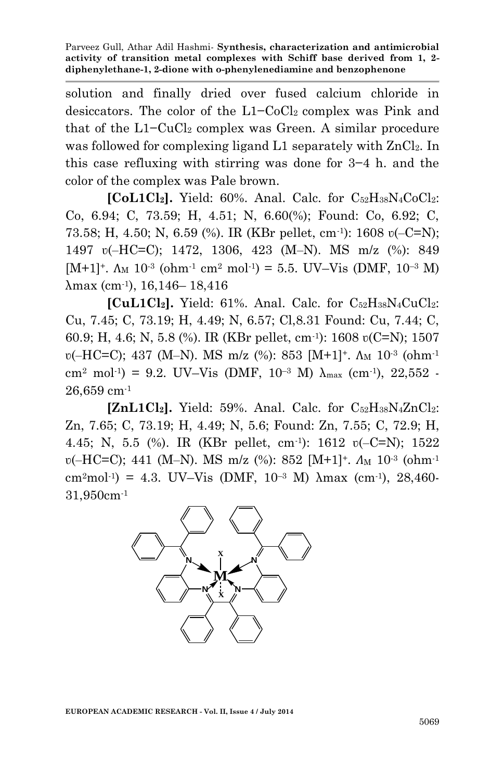solution and finally dried over fused calcium chloride in desiccators. The color of the L1−CoCl<sub>2</sub> complex was Pink and that of the  $L1-CuCl<sub>2</sub>$  complex was Green. A similar procedure was followed for complexing ligand L1 separately with  $ZnCl<sub>2</sub>$ . In this case refluxing with stirring was done for 3−4 h. and the color of the complex was Pale brown.

**[CoL1Cl2].** Yield: 60%. Anal. Calc. for C52H38N4CoCl2: Co, 6.94; C, 73.59; H, 4.51; N, 6.60(%); Found: Co, 6.92; C, 73.58; H, 4.50; N, 6.59 (%). IR (KBr pellet, cm-1 ): 1608 ʋ(‒C=N); 1497 ʋ(‒HC=C); 1472, 1306, 423 (M‒N). MS m/z (%): 849 [M+1]<sup>+</sup>.  $\Lambda_M$  10<sup>-3</sup> (ohm<sup>-1</sup> cm<sup>2</sup> mol<sup>-1</sup>) = 5.5. UV–Vis (DMF, 10<sup>-3</sup> M) λmax (cm-1 ), 16,146– 18,416

**[CuL1Cl<sub>2</sub>].** Yield: 61%. Anal. Calc. for  $C_{52}H_{38}N_4CuCl_2$ : Cu, 7.45; C, 73.19; H, 4.49; N, 6.57; Cl,8.31 Found: Cu, 7.44; C, 60.9; H, 4.6; N, 5.8 (%). IR (KBr pellet, cm-1 ): 1608 ʋ(C=N); 1507 v(-HC=C); 437 (M-N). MS m/z (%): 853 [M+1]<sup>+</sup>. A<sub>M</sub> 10<sup>-3</sup> (ohm<sup>-1</sup> cm<sup>2</sup> mol<sup>-1</sup>) = 9.2. UV-Vis (DMF, 10<sup>-3</sup> M)  $\lambda_{\text{max}}$  (cm<sup>-1</sup>), 22,552 -26,659 cm-1

 $[\text{ZnL1Cl}_2]$ . Yield: 59%. Anal. Calc. for  $C_{52}H_{38}N_4ZnCl_2$ : Zn, 7.65; C, 73.19; H, 4.49; N, 5.6; Found: Zn, 7.55; C, 72.9; H, 4.45; N, 5.5 (%). IR (KBr pellet, cm-1 ): 1612 ʋ(‒C=N); 1522 v(-HC=C); 441 (M-N). MS m/z (%): 852 [M+1]<sup>+</sup>. *A*<sub>M</sub> 10<sup>-3</sup> (ohm<sup>-1</sup> cm<sup>2</sup>mol<sup>-1</sup>) = 4.3. UV-Vis (DMF, 10<sup>-3</sup> M)  $\lambda$ max (cm<sup>-1</sup>), 28,460-31,950cm-1

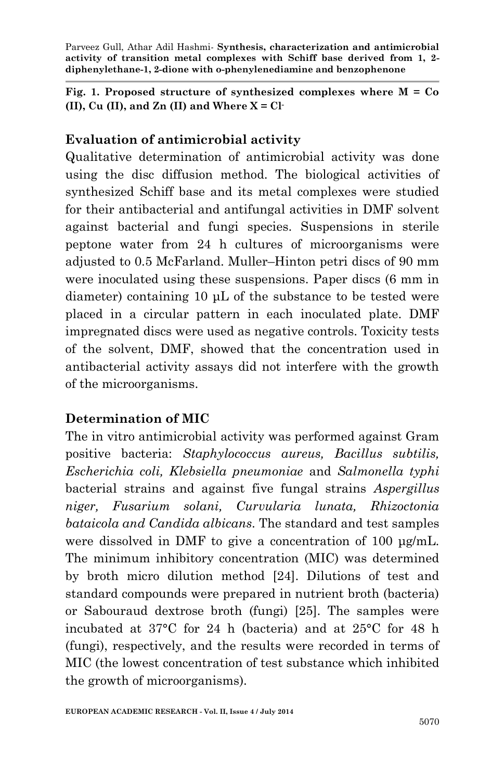**Fig. 1. Proposed structure of synthesized complexes where M = Co (II), Cu (II), and Zn (II) and Where X = Cl-**

### **Evaluation of antimicrobial activity**

Qualitative determination of antimicrobial activity was done using the disc diffusion method. The biological activities of synthesized Schiff base and its metal complexes were studied for their antibacterial and antifungal activities in DMF solvent against bacterial and fungi species. Suspensions in sterile peptone water from 24 h cultures of microorganisms were adjusted to 0.5 McFarland. Muller–Hinton petri discs of 90 mm were inoculated using these suspensions. Paper discs (6 mm in diameter) containing 10 μL of the substance to be tested were placed in a circular pattern in each inoculated plate. DMF impregnated discs were used as negative controls. Toxicity tests of the solvent, DMF, showed that the concentration used in antibacterial activity assays did not interfere with the growth of the microorganisms.

# **Determination of MIC**

The in vitro antimicrobial activity was performed against Gram positive bacteria: *Staphylococcus aureus, Bacillus subtilis, Escherichia coli, Klebsiella pneumoniae* and *Salmonella typhi* bacterial strains and against five fungal strains *Aspergillus niger, Fusarium solani, Curvularia lunata, Rhizoctonia bataicola and Candida albicans*. The standard and test samples were dissolved in DMF to give a concentration of 100 μg/mL. The minimum inhibitory concentration (MIC) was determined by broth micro dilution method [24]. Dilutions of test and standard compounds were prepared in nutrient broth (bacteria) or Sabouraud dextrose broth (fungi) [25]. The samples were incubated at 37°C for 24 h (bacteria) and at 25°C for 48 h (fungi), respectively, and the results were recorded in terms of MIC (the lowest concentration of test substance which inhibited the growth of microorganisms).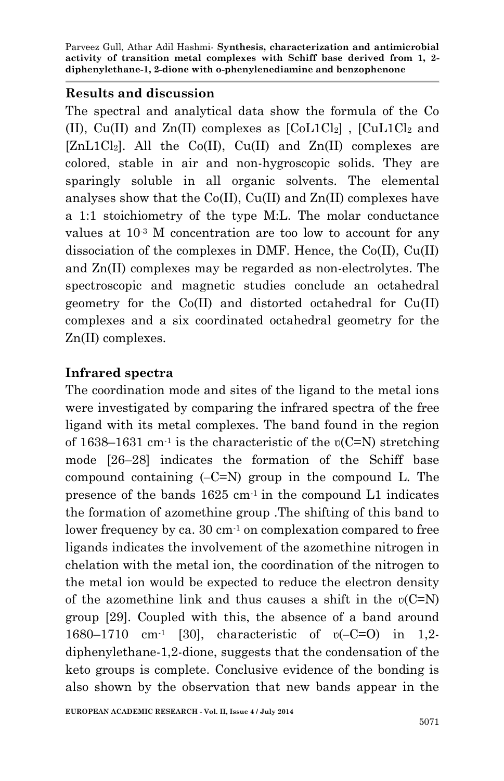### **Results and discussion**

The spectral and analytical data show the formula of the Co (II), Cu(II) and  $Zn(II)$  complexes as  $[CoL1Cl<sub>2</sub>]$ ,  $[CuL1Cl<sub>2</sub>]$  and  $[ZnL1Cl_2]$ . All the Co(II), Cu(II) and  $Zn(II)$  complexes are colored, stable in air and non-hygroscopic solids. They are sparingly soluble in all organic solvents. The elemental analyses show that the Co(II), Cu(II) and Zn(II) complexes have a 1:1 stoichiometry of the type M:L. The molar conductance values at 10-3 M concentration are too low to account for any dissociation of the complexes in DMF. Hence, the Co(II), Cu(II) and Zn(II) complexes may be regarded as non-electrolytes. The spectroscopic and magnetic studies conclude an octahedral geometry for the Co(II) and distorted octahedral for Cu(II) complexes and a six coordinated octahedral geometry for the Zn(II) complexes.

# **Infrared spectra**

The coordination mode and sites of the ligand to the metal ions were investigated by comparing the infrared spectra of the free ligand with its metal complexes. The band found in the region of 1638–1631 cm<sup>-1</sup> is the characteristic of the  $v(C=N)$  stretching mode [26–28] indicates the formation of the Schiff base compound containing  $(-C=N)$  group in the compound L. The presence of the bands  $1625 \text{ cm}^{-1}$  in the compound L1 indicates the formation of azomethine group .The shifting of this band to lower frequency by ca. 30 cm<sup>-1</sup> on complexation compared to free ligands indicates the involvement of the azomethine nitrogen in chelation with the metal ion, the coordination of the nitrogen to the metal ion would be expected to reduce the electron density of the azomethine link and thus causes a shift in the  $v(C=N)$ group [29]. Coupled with this, the absence of a band around 1680–1710 cm-1 [30], characteristic of ʋ(‒C=O) in 1,2 diphenylethane-1,2-dione, suggests that the condensation of the keto groups is complete. Conclusive evidence of the bonding is also shown by the observation that new bands appear in the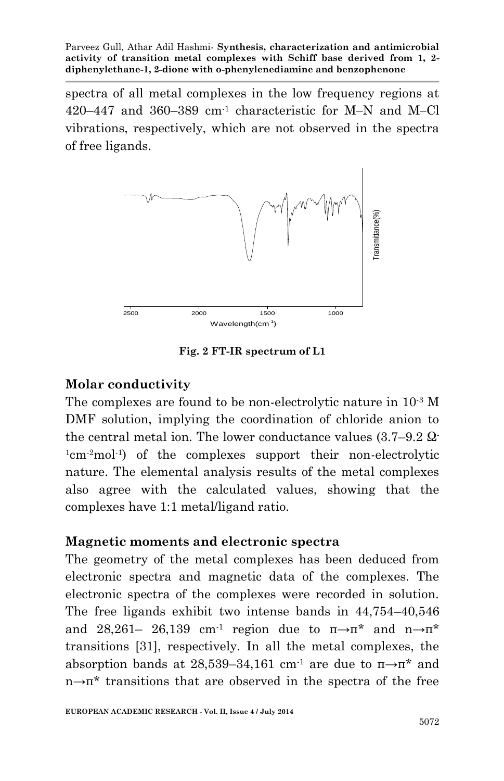spectra of all metal complexes in the low frequency regions at  $420-447$  and  $360-389$  cm<sup>-1</sup> characteristic for M-N and M-Cl vibrations, respectively, which are not observed in the spectra of free ligands.



**Fig. 2 FT-IR spectrum of L1**

#### **Molar conductivity**

The complexes are found to be non-electrolytic nature in 10-3 M DMF solution, implying the coordination of chloride anion to the central metal ion. The lower conductance values  $(3.7-9.2 \Omega$ <sup>1</sup>cm-2mol-1 ) of the complexes support their non-electrolytic nature. The elemental analysis results of the metal complexes also agree with the calculated values, showing that the complexes have 1:1 metal/ligand ratio.

#### **Magnetic moments and electronic spectra**

The geometry of the metal complexes has been deduced from electronic spectra and magnetic data of the complexes. The electronic spectra of the complexes were recorded in solution. The free ligands exhibit two intense bands in 44,754–40,546 and 28,261– 26,139 cm<sup>-1</sup> region due to  $\pi \rightarrow \pi^*$  and  $n \rightarrow \pi^*$ transitions [31], respectively. In all the metal complexes, the absorption bands at 28,539–34,161 cm<sup>-1</sup> are due to  $\pi \rightarrow \pi^*$  and n→π\* transitions that are observed in the spectra of the free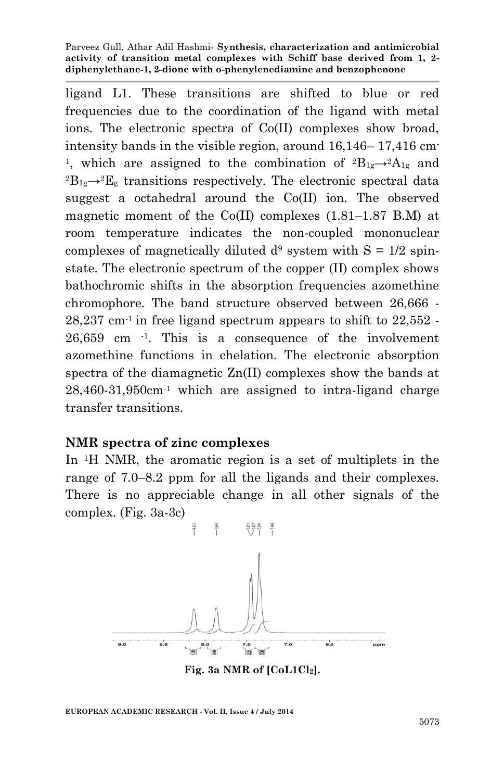ligand L1. These transitions are shifted to blue or red frequencies due to the coordination of the ligand with metal ions. The electronic spectra of Co(II) complexes show broad, intensity bands in the visible region, around 16,146– 17,416 cm-<sup>1</sup>, which are assigned to the combination of  ${}^{2}B_{1g} \rightarrow {}^{2}A_{1g}$  and  ${}^{2}B_{1g} \rightarrow {}^{2}E_{g}$  transitions respectively. The electronic spectral data suggest a octahedral around the Co(II) ion. The observed magnetic moment of the Co(II) complexes (1.81–1.87 B.M) at room temperature indicates the non-coupled mononuclear complexes of magnetically diluted  $d^9$  system with  $S = 1/2$  spinstate. The electronic spectrum of the copper (II) complex shows bathochromic shifts in the absorption frequencies azomethine chromophore. The band structure observed between 26,666 -  $28,237$  cm<sup>-1</sup> in free ligand spectrum appears to shift to  $22,552$ . 26,659 cm -1 . This is a consequence of the involvement azomethine functions in chelation. The electronic absorption spectra of the diamagnetic Zn(II) complexes show the bands at  $28,460-31,950$ cm<sup>-1</sup> which are assigned to intra-ligand charge transfer transitions.

#### **NMR spectra of zinc complexes**

In 1H NMR, the aromatic region is a set of multiplets in the range of 7.0–8.2 ppm for all the ligands and their complexes. There is no appreciable change in all other signals of the complex. (Fig. 3a-3c)



**Fig. 3a NMR of [CoL1Cl2].**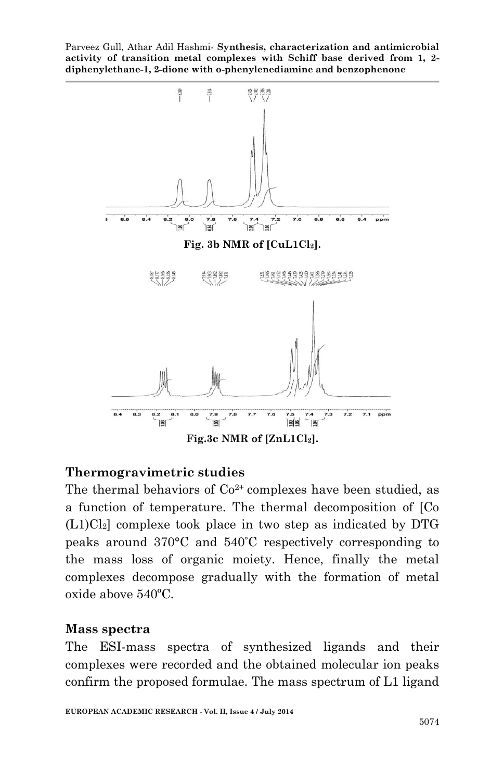

#### **Thermogravimetric studies**

The thermal behaviors of  $Co^{2+}$  complexes have been studied, as a function of temperature. The thermal decomposition of [Co  $(L1)Cl<sub>2</sub>$  complexe took place in two step as indicated by DTG peaks around 370°C and 540°C respectively corresponding to the mass loss of organic moiety. Hence, finally the metal complexes decompose gradually with the formation of metal oxide above 540ºC.

#### **Mass spectra**

The ESI-mass spectra of synthesized ligands and their complexes were recorded and the obtained molecular ion peaks confirm the proposed formulae. The mass spectrum of L1 ligand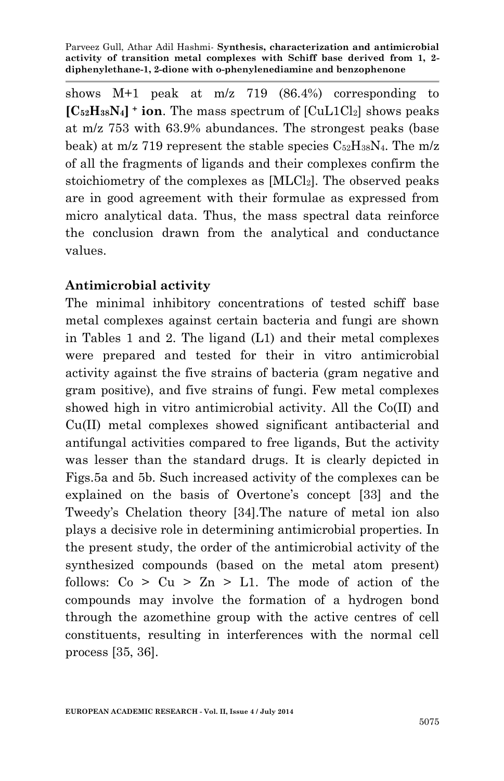shows M+1 peak at m/z 719 (86.4%) corresponding to  $[C_{52}H_{38}N_4]$ <sup>+</sup> ion. The mass spectrum of  $[C_{42}L_1C_{42}]$  shows peaks at m/z 753 with 63.9% abundances. The strongest peaks (base beak) at m/z 719 represent the stable species  $C_{52}H_{38}N_4$ . The m/z of all the fragments of ligands and their complexes confirm the stoichiometry of the complexes as  $[MLCl<sub>2</sub>]$ . The observed peaks are in good agreement with their formulae as expressed from micro analytical data. Thus, the mass spectral data reinforce the conclusion drawn from the analytical and conductance values.

## **Antimicrobial activity**

The minimal inhibitory concentrations of tested schiff base metal complexes against certain bacteria and fungi are shown in Tables 1 and 2. The ligand (L1) and their metal complexes were prepared and tested for their in vitro antimicrobial activity against the five strains of bacteria (gram negative and gram positive), and five strains of fungi. Few metal complexes showed high in vitro antimicrobial activity. All the Co(II) and Cu(II) metal complexes showed significant antibacterial and antifungal activities compared to free ligands, But the activity was lesser than the standard drugs. It is clearly depicted in Figs.5a and 5b. Such increased activity of the complexes can be explained on the basis of Overtone's concept [33] and the Tweedy's Chelation theory [34].The nature of metal ion also plays a decisive role in determining antimicrobial properties. In the present study, the order of the antimicrobial activity of the synthesized compounds (based on the metal atom present) follows:  $Co > Cu > Zn > L1$ . The mode of action of the compounds may involve the formation of a hydrogen bond through the azomethine group with the active centres of cell constituents, resulting in interferences with the normal cell process [35, 36].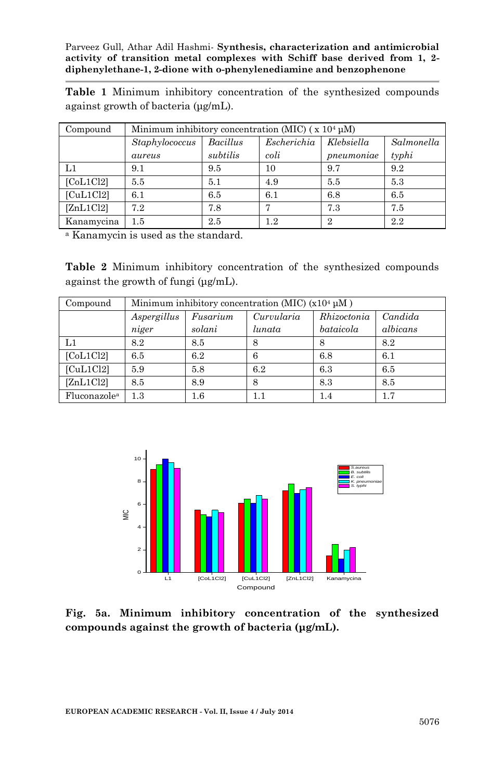**Table 1** Minimum inhibitory concentration of the synthesized compounds against growth of bacteria (μg/mL).

| Compound   | Minimum inhibitory concentration (MIC) $(x 104 \mu M)$ |          |             |                |            |  |  |
|------------|--------------------------------------------------------|----------|-------------|----------------|------------|--|--|
|            | Staphylococcus                                         | Bacillus | Escherichia | Klebsiella     | Salmonella |  |  |
|            | aureus                                                 | subtilis | coli        | pneumoniae     | $t$ yphi   |  |  |
| L1         | 9.1                                                    | 9.5      | 10          | 9.7            | 9.2        |  |  |
| [CoL1Cl2]  | 5.5                                                    | 5.1      | 4.9         | 5.5            | 5.3        |  |  |
| [CuL1Cl2]  | 6.1                                                    | 6.5      | 6.1         | 6.8            | 6.5        |  |  |
| [ZnL1Cl2]  | 7.2                                                    | 7.8      | Η,          | 7.3            | 7.5        |  |  |
| Kanamycina | $1.5\,$                                                | 2.5      | 12          | $\overline{2}$ | 2.2        |  |  |

<sup>a</sup> Kanamycin is used as the standard.

**Table 2** Minimum inhibitory concentration of the synthesized compounds against the growth of fungi (μg/mL).

| Compound                 | Minimum inhibitory concentration (MIC) $(x10^4 \mu M)$ |          |            |             |          |  |  |
|--------------------------|--------------------------------------------------------|----------|------------|-------------|----------|--|--|
|                          | Aspergillus                                            | Fusarium | Curvularia | Rhizoctonia | Candida  |  |  |
|                          | niger                                                  | solani   | lunata     | bataicola   | albicans |  |  |
| L1                       | 8.2                                                    | 8.5      | 8          |             | 8.2      |  |  |
| [CoL1Cl2]                | 6.5                                                    | 6.2      | 6          | 6.8         | 6.1      |  |  |
| [CuL1Cl2]                | 5.9                                                    | 5.8      | 6.2        | 6.3         | 6.5      |  |  |
| [ZnL1Cl2]                | 8.5                                                    | 8.9      | 8          | 8.3         | 8.5      |  |  |
| Fluconazole <sup>a</sup> | $1.3\,$                                                | $1.6\,$  | 1.1        | 1.4         | 1.7      |  |  |



**Fig. 5a. Minimum inhibitory concentration of the synthesized compounds against the growth of bacteria (μg/mL).**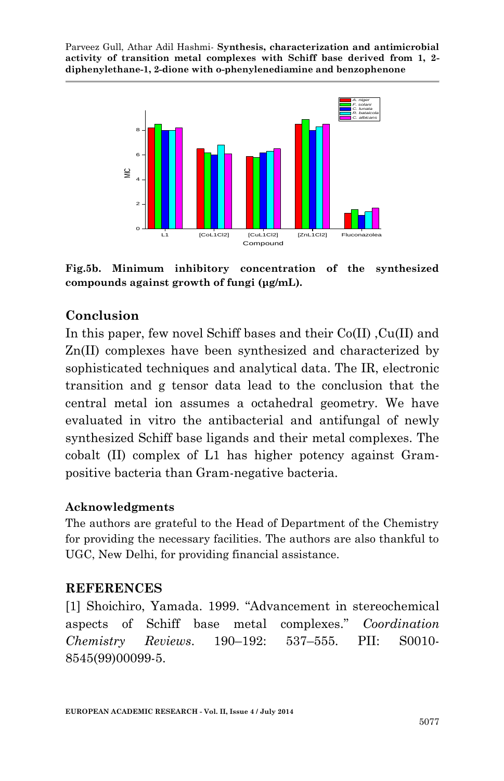

**Fig.5b. Minimum inhibitory concentration of the synthesized compounds against growth of fungi (μg/mL).**

### **Conclusion**

In this paper, few novel Schiff bases and their Co(II) ,Cu(II) and Zn(II) complexes have been synthesized and characterized by sophisticated techniques and analytical data. The IR, electronic transition and g tensor data lead to the conclusion that the central metal ion assumes a octahedral geometry. We have evaluated in vitro the antibacterial and antifungal of newly synthesized Schiff base ligands and their metal complexes. The cobalt (II) complex of L1 has higher potency against Grampositive bacteria than Gram-negative bacteria.

#### **Acknowledgments**

The authors are grateful to the Head of Department of the Chemistry for providing the necessary facilities. The authors are also thankful to UGC, New Delhi, for providing financial assistance.

### **REFERENCES**

[1] Shoichiro, Yamada. 1999. "Advancement in stereochemical aspects of Schiff base metal complexes." *Coordination Chemistry Reviews*. 190–192: 537–555. PII: S0010- 8545(99)00099-5.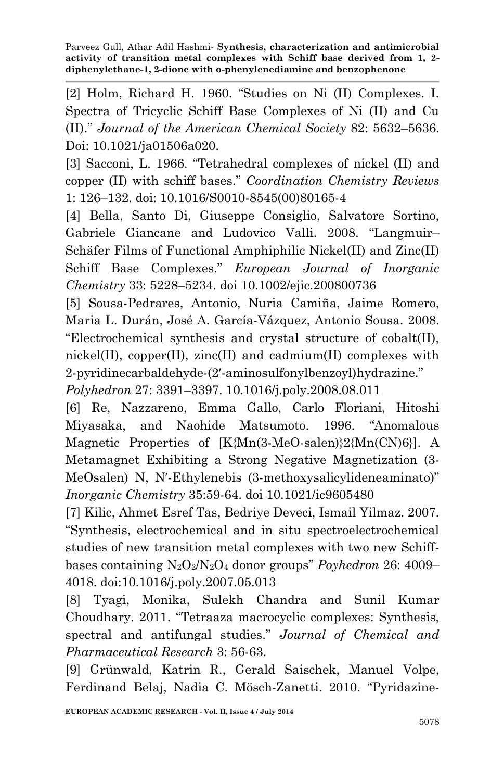[2] Holm, Richard H. 1960. "Studies on Ni (II) Complexes. I. Spectra of Tricyclic Schiff Base Complexes of Ni (II) and Cu (II)." *Journal of the American Chemical Society* 82: 5632–5636. Doi: 10.1021/ja01506a020.

[3] Sacconi, L. 1966. "Tetrahedral complexes of nickel (II) and copper (II) with schiff bases." *Coordination Chemistry Reviews* 1: 126–132. doi: 10.1016/S0010-8545(00)80165-4

[4] Bella, Santo Di, Giuseppe Consiglio, Salvatore Sortino, Gabriele Giancane and Ludovico Valli. 2008. "Langmuir– Schäfer Films of Functional Amphiphilic Nickel(II) and Zinc(II) Schiff Base Complexes." *European Journal of Inorganic Chemistry* 33: 5228–5234. doi 10.1002/ejic.200800736

[5] Sousa-Pedrares, Antonio, Nuria Camiña, Jaime Romero, Maria L. Durán, José A. García-Vázquez, Antonio Sousa. 2008. "Electrochemical synthesis and crystal structure of cobalt(II), nickel(II), copper(II), zinc(II) and cadmium(II) complexes with 2-pyridinecarbaldehyde-(2′-aminosulfonylbenzoyl)hydrazine."

*Polyhedron* 27: 3391–3397. 10.1016/j.poly.2008.08.011

[6] Re, Nazzareno, Emma Gallo, Carlo Floriani, Hitoshi Miyasaka, and Naohide Matsumoto. 1996. "Anomalous Magnetic Properties of [K{Mn(3-MeO-salen)}2{Mn(CN)6}]. A Metamagnet Exhibiting a Strong Negative Magnetization (3- MeOsalen) N, N′-Ethylenebis (3-methoxysalicylideneaminato)" *Inorganic Chemistry* 35:59-64. doi 10.1021/ic9605480

[7] Kilic, Ahmet Esref Tas, Bedriye Deveci, Ismail Yilmaz. 2007. "Synthesis, electrochemical and in situ spectroelectrochemical studies of new transition metal complexes with two new Schiffbases containing N2O2/N2O<sup>4</sup> donor groups" *Poyhedron* 26: 4009– 4018. doi:10.1016/j.poly.2007.05.013

[8] Tyagi, Monika, Sulekh Chandra and Sunil Kumar Choudhary. 2011. "Tetraaza macrocyclic complexes: Synthesis, spectral and antifungal studies." *Journal of Chemical and Pharmaceutical Research* 3: 56-63.

[9] Grünwald, Katrin R., Gerald Saischek, Manuel Volpe, Ferdinand Belaj, Nadia C. Mösch-Zanetti. 2010. "Pyridazine-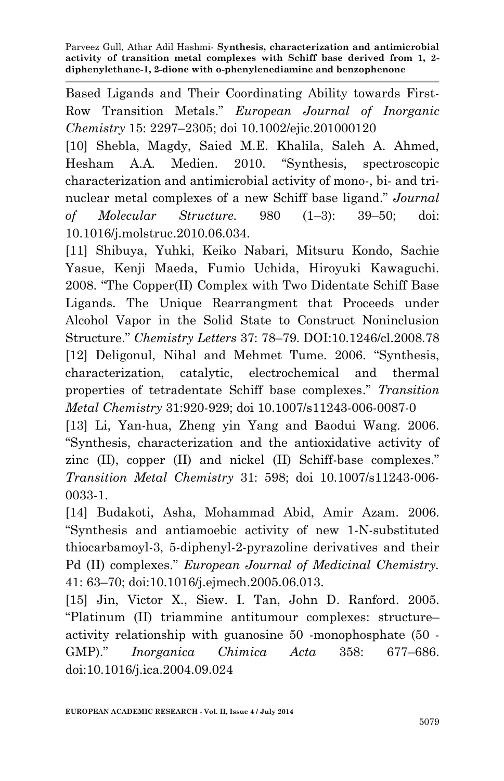Based Ligands and Their Coordinating Ability towards First-Row Transition Metals." *European Journal of Inorganic Chemistry* 15: 2297–2305; doi 10.1002/ejic.201000120

[10] Shebla, Magdy, Saied M.E. Khalila, Saleh A. Ahmed, Hesham A.A. Medien. 2010. "Synthesis, spectroscopic characterization and antimicrobial activity of mono-, bi- and trinuclear metal complexes of a new Schiff base ligand." *Journal of Molecular Structure.* 980 (1–3): 39–50; doi: 10.1016/j.molstruc.2010.06.034.

[11] Shibuya, Yuhki, Keiko Nabari, Mitsuru Kondo, Sachie Yasue, Kenji Maeda, Fumio Uchida, Hiroyuki Kawaguchi. 2008. "The Copper(II) Complex with Two Didentate Schiff Base Ligands. The Unique Rearrangment that Proceeds under Alcohol Vapor in the Solid State to Construct Noninclusion Structure." *Chemistry Letters* 37: 78–79. DOI:10.1246/cl.2008.78 [12] Deligonul, Nihal and Mehmet Tume. 2006. "Synthesis, characterization, catalytic, electrochemical and thermal properties of tetradentate Schiff base complexes." *Transition Metal Chemistry* 31:920-929; doi 10.1007/s11243-006-0087-0

[13] Li, Yan-hua, Zheng yin Yang and Baodui Wang. 2006. "Synthesis, characterization and the antioxidative activity of zinc (II), copper (II) and nickel (II) Schiff-base complexes." *Transition Metal Chemistry* 31: 598; doi 10.1007/s11243-006- 0033-1.

[14] Budakoti, Asha, Mohammad Abid, Amir Azam. 2006. "Synthesis and antiamoebic activity of new 1-N-substituted thiocarbamoyl-3, 5-diphenyl-2-pyrazoline derivatives and their Pd (II) complexes." *European Journal of Medicinal Chemistry.* 41: 63–70; doi:10.1016/j.ejmech.2005.06.013.

[15] Jin, Victor X., Siew. I. Tan, John D. Ranford. 2005. "Platinum (II) triammine antitumour complexes: structure– activity relationship with guanosine 50 -monophosphate (50 - GMP)." *Inorganica Chimica Acta* 358: 677–686. doi:10.1016/j.ica.2004.09.024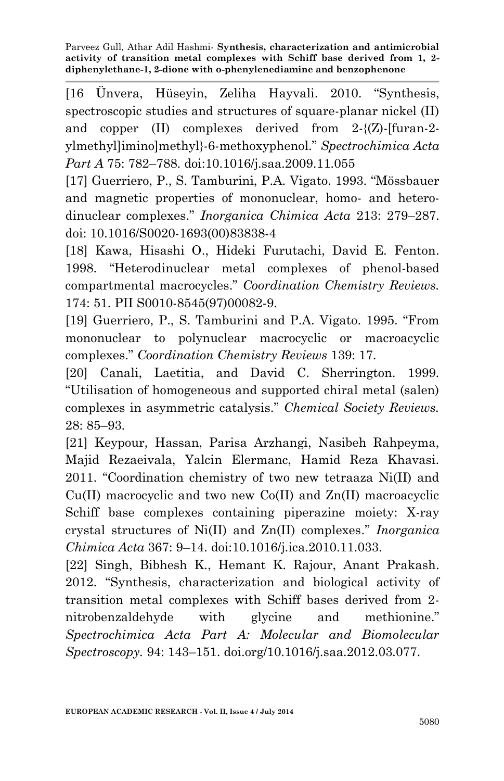[16 Ünvera, Hüseyin, Zeliha Hayvali. 2010. "Synthesis, spectroscopic studies and structures of square-planar nickel (II) and copper (II) complexes derived from 2-{(Z)-[furan-2 ylmethyl]imino]methyl}-6-methoxyphenol." *Spectrochimica Acta Part A* 75: 782–788. doi:10.1016/j.saa.2009.11.055

[17] Guerriero, P., S. Tamburini, P.A. Vigato. 1993. "Mössbauer and magnetic properties of mononuclear, homo- and heterodinuclear complexes." *Inorganica Chimica Acta* 213: 279–287. doi: 10.1016/S0020-1693(00)83838-4

[18] Kawa, Hisashi O., Hideki Furutachi, David E. Fenton. 1998. "Heterodinuclear metal complexes of phenol-based compartmental macrocycles." *Coordination Chemistry Reviews.* 174: 51. PII S0010-8545(97)00082-9.

[19] Guerriero, P., S. Tamburini and P.A. Vigato. 1995. "From mononuclear to polynuclear macrocyclic or macroacyclic complexes." *Coordination Chemistry Reviews* 139: 17.

[20] Canali, Laetitia, and David C. Sherrington. 1999. "Utilisation of homogeneous and supported chiral metal (salen) complexes in asymmetric catalysis." *Chemical Society Reviews.* 28: 85–93.

[21] Keypour, Hassan, Parisa Arzhangi, Nasibeh Rahpeyma, Majid Rezaeivala, Yalcin Elermanc, Hamid Reza Khavasi. 2011. "Coordination chemistry of two new tetraaza Ni(II) and  $Cu(II)$  macrocyclic and two new  $Co(II)$  and  $Zn(II)$  macroacyclic Schiff base complexes containing piperazine moiety: X-ray crystal structures of Ni(II) and Zn(II) complexes." *Inorganica Chimica Acta* 367: 9–14. doi:10.1016/j.ica.2010.11.033.

[22] Singh, Bibhesh K., Hemant K. Rajour, Anant Prakash. 2012. "Synthesis, characterization and biological activity of transition metal complexes with Schiff bases derived from 2 nitrobenzaldehyde with glycine and methionine." *Spectrochimica Acta Part A: Molecular and Biomolecular Spectroscopy.* 94: 143–151. doi.org/10.1016/j.saa.2012.03.077.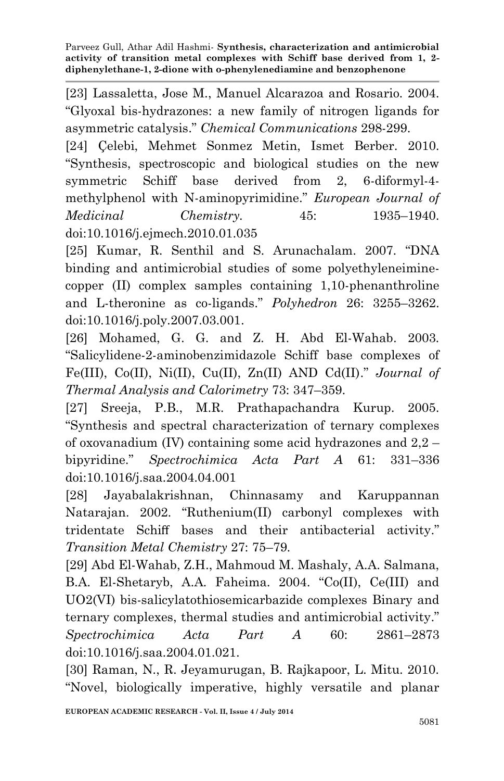[23] Lassaletta, Jose M., Manuel Alcarazoa and Rosario. 2004. "Glyoxal bis-hydrazones: a new family of nitrogen ligands for asymmetric catalysis." *Chemical Communications* 298-299.

[24] Çelebi, Mehmet Sonmez Metin, Ismet Berber. 2010. "Synthesis, spectroscopic and biological studies on the new symmetric Schiff base derived from 2, 6-diformyl-4 methylphenol with N-aminopyrimidine." *European Journal of Medicinal Chemistry.* 45: 1935–1940. doi:10.1016/j.ejmech.2010.01.035

[25] Kumar, R. Senthil and S. Arunachalam. 2007. "DNA binding and antimicrobial studies of some polyethyleneiminecopper (II) complex samples containing 1,10-phenanthroline and L-theronine as co-ligands." *Polyhedron* 26: 3255–3262. doi:10.1016/j.poly.2007.03.001.

[26] Mohamed, G. G. and Z. H. Abd El-Wahab. 2003. "Salicylidene-2-aminobenzimidazole Schiff base complexes of Fe(III), Co(II), Ni(II), Cu(II), Zn(II) AND Cd(II)." *Journal of Thermal Analysis and Calorimetry* 73: 347–359.

[27] Sreeja, P.B., M.R. Prathapachandra Kurup. 2005. "Synthesis and spectral characterization of ternary complexes of oxovanadium (IV) containing some acid hydrazones and 2,2 – bipyridine." *Spectrochimica Acta Part A* 61: 331–336 doi:10.1016/j.saa.2004.04.001

[28] Jayabalakrishnan, Chinnasamy and Karuppannan Natarajan. 2002. "Ruthenium(II) carbonyl complexes with tridentate Schiff bases and their antibacterial activity." *Transition Metal Chemistry* 27: 75–79.

[29] Abd El-Wahab, Z.H., Mahmoud M. Mashaly, A.A. Salmana, B.A. El-Shetaryb, A.A. Faheima. 2004. "Co(II), Ce(III) and UO2(VI) bis-salicylatothiosemicarbazide complexes Binary and ternary complexes, thermal studies and antimicrobial activity." *Spectrochimica Acta Part A* 60: 2861–2873 doi:10.1016/j.saa.2004.01.021.

[30] Raman, N., R. Jeyamurugan, B. Rajkapoor, L. Mitu. 2010. "Novel, biologically imperative, highly versatile and planar